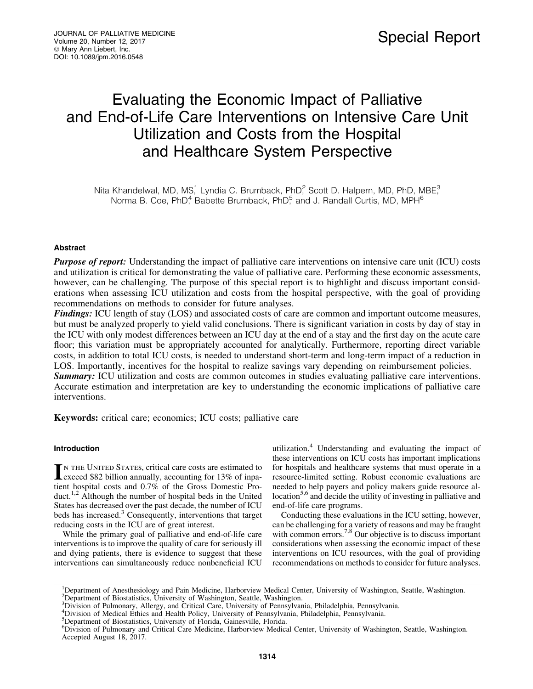# Evaluating the Economic Impact of Palliative and End-of-Life Care Interventions on Intensive Care Unit Utilization and Costs from the Hospital and Healthcare System Perspective

Nita Khandelwal, MD, MS,<sup>1</sup> Lyndia C. Brumback, PhD,<sup>2</sup> Scott D. Halpern, MD, PhD, MBE, Norma B. Coe, PhD<sup>4</sup>, Babette Brumback, PhD<sub>5</sub> and J. Randall Curtis, MD, MPH<sup>6</sup>

# Abstract

**Purpose of report:** Understanding the impact of palliative care interventions on intensive care unit (ICU) costs and utilization is critical for demonstrating the value of palliative care. Performing these economic assessments, however, can be challenging. The purpose of this special report is to highlight and discuss important considerations when assessing ICU utilization and costs from the hospital perspective, with the goal of providing recommendations on methods to consider for future analyses.

Findings: ICU length of stay (LOS) and associated costs of care are common and important outcome measures, but must be analyzed properly to yield valid conclusions. There is significant variation in costs by day of stay in the ICU with only modest differences between an ICU day at the end of a stay and the first day on the acute care floor; this variation must be appropriately accounted for analytically. Furthermore, reporting direct variable costs, in addition to total ICU costs, is needed to understand short-term and long-term impact of a reduction in LOS. Importantly, incentives for the hospital to realize savings vary depending on reimbursement policies.

**Summary:** ICU utilization and costs are common outcomes in studies evaluating palliative care interventions. Accurate estimation and interpretation are key to understanding the economic implications of palliative care interventions.

Keywords: critical care; economics; ICU costs; palliative care

## Introduction

IN THE UNITED STATES, critical care costs are estimated to exceed \$82 billion annually, accounting for 13% of inpatient hospital costs and 0.7% of the Gross Domestic Product.1,2 Although the number of hospital beds in the United States has decreased over the past decade, the number of ICU beds has increased.<sup>3</sup> Consequently, interventions that target reducing costs in the ICU are of great interest.

While the primary goal of palliative and end-of-life care interventions is to improve the quality of care for seriously ill and dying patients, there is evidence to suggest that these interventions can simultaneously reduce nonbeneficial ICU utilization.4 Understanding and evaluating the impact of these interventions on ICU costs has important implications for hospitals and healthcare systems that must operate in a resource-limited setting. Robust economic evaluations are needed to help payers and policy makers guide resource allocation<sup>5,6</sup> and decide the utility of investing in palliative and end-of-life care programs.

Conducting these evaluations in the ICU setting, however, can be challenging for a variety of reasons and may be fraught with common errors.<sup>7,8</sup> Our objective is to discuss important considerations when assessing the economic impact of these interventions on ICU resources, with the goal of providing recommendations on methods to consider for future analyses.

<sup>&</sup>lt;sup>1</sup>Department of Anesthesiology and Pain Medicine, Harborview Medical Center, University of Washington, Seattle, Washington. 2 Department of Biostatistics, University of Washington, Seattle, Washington.

<sup>3</sup> Division of Pulmonary, Allergy, and Critical Care, University of Pennsylvania, Philadelphia, Pennsylvania. 4 Division of Medical Ethics and Health Policy, University of Pennsylvania, Philadelphia, Pennsylvania.

<sup>&</sup>lt;sup>5</sup>Department of Biostatistics, University of Florida, Gainesville, Florida.

<sup>6</sup> Division of Pulmonary and Critical Care Medicine, Harborview Medical Center, University of Washington, Seattle, Washington. Accepted August 18, 2017.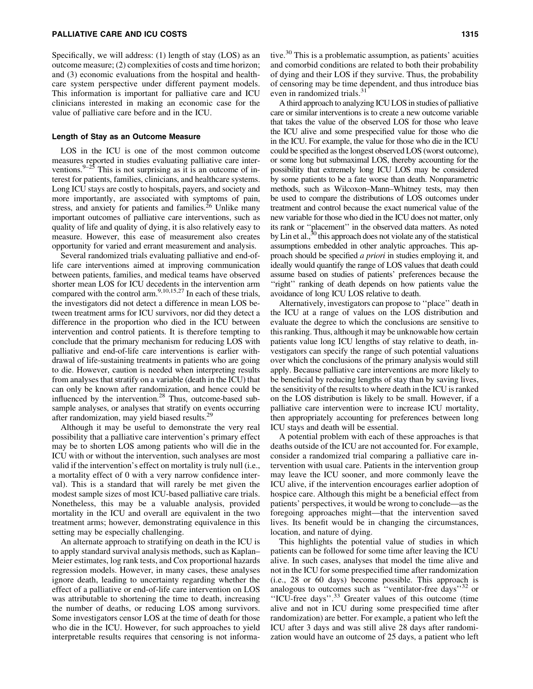## PALLIATIVE CARE AND ICU COSTS 1315

Specifically, we will address: (1) length of stay (LOS) as an outcome measure; (2) complexities of costs and time horizon; and (3) economic evaluations from the hospital and healthcare system perspective under different payment models. This information is important for palliative care and ICU clinicians interested in making an economic case for the value of palliative care before and in the ICU.

#### Length of Stay as an Outcome Measure

LOS in the ICU is one of the most common outcome measures reported in studies evaluating palliative care interventions.  $9-25$  This is not surprising as it is an outcome of interest for patients, families, clinicians, and healthcare systems. Long ICU stays are costly to hospitals, payers, and society and more importantly, are associated with symptoms of pain, stress, and anxiety for patients and families.<sup>26</sup> Unlike many important outcomes of palliative care interventions, such as quality of life and quality of dying, it is also relatively easy to measure. However, this ease of measurement also creates opportunity for varied and errant measurement and analysis.

Several randomized trials evaluating palliative and end-oflife care interventions aimed at improving communication between patients, families, and medical teams have observed shorter mean LOS for ICU decedents in the intervention arm compared with the control arm. $9,10,15,27$  In each of these trials, the investigators did not detect a difference in mean LOS between treatment arms for ICU survivors, nor did they detect a difference in the proportion who died in the ICU between intervention and control patients. It is therefore tempting to conclude that the primary mechanism for reducing LOS with palliative and end-of-life care interventions is earlier withdrawal of life-sustaining treatments in patients who are going to die. However, caution is needed when interpreting results from analyses that stratify on a variable (death in the ICU) that can only be known after randomization, and hence could be influenced by the intervention.<sup>28</sup> Thus, outcome-based subsample analyses, or analyses that stratify on events occurring after randomization, may yield biased results.<sup>29</sup>

Although it may be useful to demonstrate the very real possibility that a palliative care intervention's primary effect may be to shorten LOS among patients who will die in the ICU with or without the intervention, such analyses are most valid if the intervention's effect on mortality is truly null (i.e., a mortality effect of 0 with a very narrow confidence interval). This is a standard that will rarely be met given the modest sample sizes of most ICU-based palliative care trials. Nonetheless, this may be a valuable analysis, provided mortality in the ICU and overall are equivalent in the two treatment arms; however, demonstrating equivalence in this setting may be especially challenging.

An alternate approach to stratifying on death in the ICU is to apply standard survival analysis methods, such as Kaplan– Meier estimates, log rank tests, and Cox proportional hazards regression models. However, in many cases, these analyses ignore death, leading to uncertainty regarding whether the effect of a palliative or end-of-life care intervention on LOS was attributable to shortening the time to death, increasing the number of deaths, or reducing LOS among survivors. Some investigators censor LOS at the time of death for those who die in the ICU. However, for such approaches to yield interpretable results requires that censoring is not informative.<sup>30</sup> This is a problematic assumption, as patients' acuities and comorbid conditions are related to both their probability of dying and their LOS if they survive. Thus, the probability of censoring may be time dependent, and thus introduce bias even in randomized trials.<sup>31</sup>

A third approach to analyzing ICU LOS in studies of palliative care or similar interventions is to create a new outcome variable that takes the value of the observed LOS for those who leave the ICU alive and some prespecified value for those who die in the ICU. For example, the value for those who die in the ICU could be specified as the longest observed LOS (worst outcome), or some long but submaximal LOS, thereby accounting for the possibility that extremely long ICU LOS may be considered by some patients to be a fate worse than death. Nonparametric methods, such as Wilcoxon–Mann–Whitney tests, may then be used to compare the distributions of LOS outcomes under treatment and control because the exact numerical value of the new variable for those who died in the ICU does not matter, only its rank or ''placement'' in the observed data matters. As noted by Lin et al.,<sup>30</sup> this approach does not violate any of the statistical assumptions embedded in other analytic approaches. This approach should be specified *a priori* in studies employing it, and ideally would quantify the range of LOS values that death could assume based on studies of patients' preferences because the ''right'' ranking of death depends on how patients value the avoidance of long ICU LOS relative to death.

Alternatively, investigators can propose to ''place'' death in the ICU at a range of values on the LOS distribution and evaluate the degree to which the conclusions are sensitive to this ranking. Thus, although it may be unknowable how certain patients value long ICU lengths of stay relative to death, investigators can specify the range of such potential valuations over which the conclusions of the primary analysis would still apply. Because palliative care interventions are more likely to be beneficial by reducing lengths of stay than by saving lives, the sensitivity of the results to where death in the ICU is ranked on the LOS distribution is likely to be small. However, if a palliative care intervention were to increase ICU mortality, then appropriately accounting for preferences between long ICU stays and death will be essential.

A potential problem with each of these approaches is that deaths outside of the ICU are not accounted for. For example, consider a randomized trial comparing a palliative care intervention with usual care. Patients in the intervention group may leave the ICU sooner, and more commonly leave the ICU alive, if the intervention encourages earlier adoption of hospice care. Although this might be a beneficial effect from patients' perspectives, it would be wrong to conclude—as the foregoing approaches might—that the intervention saved lives. Its benefit would be in changing the circumstances, location, and nature of dying.

This highlights the potential value of studies in which patients can be followed for some time after leaving the ICU alive. In such cases, analyses that model the time alive and not in the ICU for some prespecified time after randomization (i.e., 28 or 60 days) become possible. This approach is analogous to outcomes such as ''ventilator-free days''<sup>32</sup> or ''ICU-free days''.<sup>33</sup> Greater values of this outcome (time alive and not in ICU during some prespecified time after randomization) are better. For example, a patient who left the ICU after 3 days and was still alive 28 days after randomization would have an outcome of 25 days, a patient who left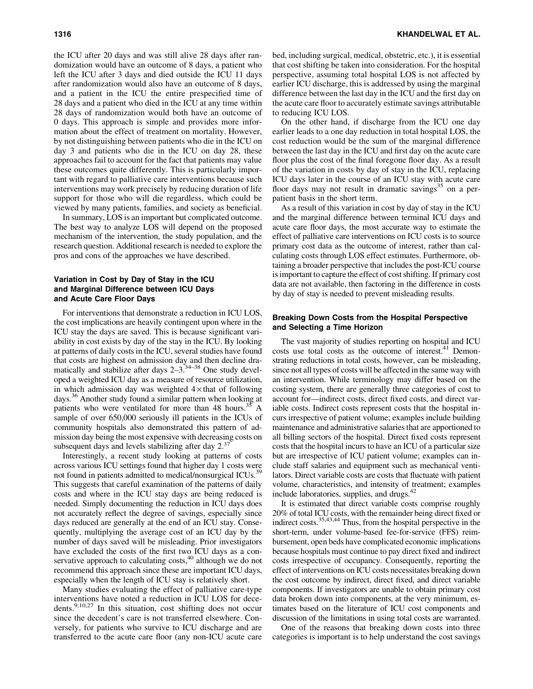the ICU after 20 days and was still alive 28 days after randomization would have an outcome of 8 days, a patient who left the ICU after 3 days and died outside the ICU 11 days after randomization would also have an outcome of 8 days, and a patient in the ICU the entire prespecified time of 28 days and a patient who died in the ICU at any time within 28 days of randomization would both have an outcome of 0 days. This approach is simple and provides more information about the effect of treatment on mortality. However, by not distinguishing between patients who die in the ICU on day 3 and patients who die in the ICU on day 28, these approaches fail to account for the fact that patients may value these outcomes quite differently. This is particularly important with regard to palliative care interventions because such interventions may work precisely by reducing duration of life support for those who will die regardless, which could be viewed by many patients, families, and society as beneficial.

In summary, LOS is an important but complicated outcome. The best way to analyze LOS will depend on the proposed mechanism of the intervention, the study population, and the research question. Additional research is needed to explore the pros and cons of the approaches we have described.

## Variation in Cost by Day of Stay in the ICU and Marginal Difference between ICU Days and Acute Care Floor Days

For interventions that demonstrate a reduction in ICU LOS, the cost implications are heavily contingent upon where in the ICU stay the days are saved. This is because significant variability in cost exists by day of the stay in the ICU. By looking at patterns of daily costs in the ICU, several studies have found that costs are highest on admission day and then decline dramatically and stabilize after days  $2-3$ . <sup>34–38</sup> One study developed a weighted ICU day as a measure of resource utilization, in which admission day was weighted  $4 \times$  that of following days.36 Another study found a similar pattern when looking at patients who were ventilated for more than 48 hours.<sup>35</sup> A sample of over 650,000 seriously ill patients in the ICUs of community hospitals also demonstrated this pattern of admission day being the most expensive with decreasing costs on subsequent days and levels stabilizing after day 2.<sup>37</sup>

Interestingly, a recent study looking at patterns of costs across various ICU settings found that higher day 1 costs were not found in patients admitted to medical/nonsurgical ICUs.<sup>39</sup> This suggests that careful examination of the patterns of daily costs and where in the ICU stay days are being reduced is needed. Simply documenting the reduction in ICU days does not accurately reflect the degree of savings, especially since days reduced are generally at the end of an ICU stay. Consequently, multiplying the average cost of an ICU day by the number of days saved will be misleading. Prior investigators have excluded the costs of the first two ICU days as a conservative approach to calculating costs,<sup>40</sup> although we do not recommend this approach since these are important ICU days, especially when the length of ICU stay is relatively short.

Many studies evaluating the effect of palliative care-type interventions have noted a reduction in ICU LOS for decedents.<sup>9,10,27</sup> In this situation, cost shifting does not occur since the decedent's care is not transferred elsewhere. Conversely, for patients who survive to ICU discharge and are transferred to the acute care floor (any non-ICU acute care bed, including surgical, medical, obstetric, etc.), it is essential that cost shifting be taken into consideration. For the hospital perspective, assuming total hospital LOS is not affected by earlier ICU discharge, this is addressed by using the marginal difference between the last day in the ICU and the first day on the acute care floor to accurately estimate savings attributable to reducing ICU LOS.

On the other hand, if discharge from the ICU one day earlier leads to a one day reduction in total hospital LOS, the cost reduction would be the sum of the marginal difference between the last day in the ICU and first day on the acute care floor plus the cost of the final foregone floor day. As a result of the variation in costs by day of stay in the ICU, replacing ICU days later in the course of an ICU stay with acute care floor days may not result in dramatic savings<sup>35</sup> on a perpatient basis in the short term.

As a result of this variation in cost by day of stay in the ICU and the marginal difference between terminal ICU days and acute care floor days, the most accurate way to estimate the effect of palliative care interventions on ICU costs is to source primary cost data as the outcome of interest, rather than calculating costs through LOS effect estimates. Furthermore, obtaining a broader perspective that includes the post-ICU course is important to capture the effect of cost shifting. If primary cost data are not available, then factoring in the difference in costs by day of stay is needed to prevent misleading results.

## Breaking Down Costs from the Hospital Perspective and Selecting a Time Horizon

The vast majority of studies reporting on hospital and ICU costs use total costs as the outcome of interest.<sup>41</sup> Demonstrating reductions in total costs, however, can be misleading, since not all types of costs will be affected in the same way with an intervention. While terminology may differ based on the costing system, there are generally three categories of cost to account for—indirect costs, direct fixed costs, and direct variable costs. Indirect costs represent costs that the hospital incurs irrespective of patient volume; examples include building maintenance and administrative salaries that are apportioned to all billing sectors of the hospital. Direct fixed costs represent costs that the hospital incurs to have an ICU of a particular size but are irrespective of ICU patient volume; examples can include staff salaries and equipment such as mechanical ventilators. Direct variable costs are costs that fluctuate with patient volume, characteristics, and intensity of treatment; examples include laboratories, supplies, and drugs.  $42$ 

It is estimated that direct variable costs comprise roughly 20% of total ICU costs, with the remainder being direct fixed or indirect costs.<sup>35,43,44</sup> Thus, from the hospital perspective in the short-term, under volume-based fee-for-service (FFS) reimbursement, open beds have complicated economic implications because hospitals must continue to pay direct fixed and indirect costs irrespective of occupancy. Consequently, reporting the effect of interventions on ICU costs necessitates breaking down the cost outcome by indirect, direct fixed, and direct variable components. If investigators are unable to obtain primary cost data broken down into components, at the very minimum, estimates based on the literature of ICU cost components and discussion of the limitations in using total costs are warranted.

One of the reasons that breaking down costs into three categories is important is to help understand the cost savings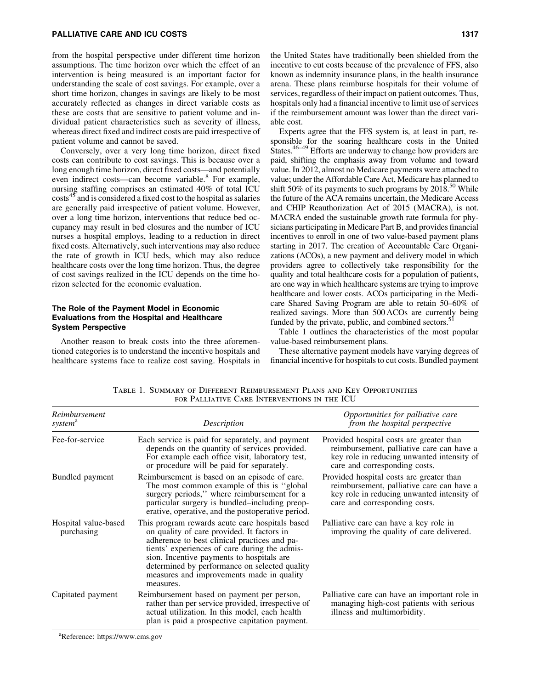## PALLIATIVE CARE AND ICU COSTS 1317

from the hospital perspective under different time horizon assumptions. The time horizon over which the effect of an intervention is being measured is an important factor for understanding the scale of cost savings. For example, over a short time horizon, changes in savings are likely to be most accurately reflected as changes in direct variable costs as these are costs that are sensitive to patient volume and individual patient characteristics such as severity of illness, whereas direct fixed and indirect costs are paid irrespective of patient volume and cannot be saved.

Conversely, over a very long time horizon, direct fixed costs can contribute to cost savings. This is because over a long enough time horizon, direct fixed costs—and potentially even indirect costs—can become variable.<sup>8</sup> For example, nursing staffing comprises an estimated 40% of total ICU costs<sup>45</sup> and is considered a fixed cost to the hospital as salaries are generally paid irrespective of patient volume. However, over a long time horizon, interventions that reduce bed occupancy may result in bed closures and the number of ICU nurses a hospital employs, leading to a reduction in direct fixed costs. Alternatively, such interventions may also reduce the rate of growth in ICU beds, which may also reduce healthcare costs over the long time horizon. Thus, the degree of cost savings realized in the ICU depends on the time horizon selected for the economic evaluation.

# The Role of the Payment Model in Economic Evaluations from the Hospital and Healthcare System Perspective

Another reason to break costs into the three aforementioned categories is to understand the incentive hospitals and healthcare systems face to realize cost saving. Hospitals in the United States have traditionally been shielded from the incentive to cut costs because of the prevalence of FFS, also known as indemnity insurance plans, in the health insurance arena. These plans reimburse hospitals for their volume of services, regardless of their impact on patient outcomes. Thus, hospitals only had a financial incentive to limit use of services if the reimbursement amount was lower than the direct variable cost.

Experts agree that the FFS system is, at least in part, responsible for the soaring healthcare costs in the United States.<sup>46–49</sup> Efforts are underway to change how providers are paid, shifting the emphasis away from volume and toward value. In 2012, almost no Medicare payments were attached to value; under the Affordable Care Act, Medicare has planned to shift 50% of its payments to such programs by  $2018^{50}$  While the future of the ACA remains uncertain, the Medicare Access and CHIP Reauthorization Act of 2015 (MACRA), is not. MACRA ended the sustainable growth rate formula for physicians participating in Medicare Part B, and provides financial incentives to enroll in one of two value-based payment plans starting in 2017. The creation of Accountable Care Organizations (ACOs), a new payment and delivery model in which providers agree to collectively take responsibility for the quality and total healthcare costs for a population of patients, are one way in which healthcare systems are trying to improve healthcare and lower costs. ACOs participating in the Medicare Shared Saving Program are able to retain 50–60% of realized savings. More than 500 ACOs are currently being funded by the private, public, and combined sectors.<sup>5</sup>

Table 1 outlines the characteristics of the most popular value-based reimbursement plans.

These alternative payment models have varying degrees of financial incentive for hospitals to cut costs. Bundled payment

| Reimbursement<br>system <sup>a</sup> | Description                                                                                                                                                                                                                                                                                                                                            | Opportunities for palliative care<br>from the hospital perspective                                                                                                   |
|--------------------------------------|--------------------------------------------------------------------------------------------------------------------------------------------------------------------------------------------------------------------------------------------------------------------------------------------------------------------------------------------------------|----------------------------------------------------------------------------------------------------------------------------------------------------------------------|
| Fee-for-service                      | Each service is paid for separately, and payment<br>depends on the quantity of services provided.<br>For example each office visit, laboratory test,<br>or procedure will be paid for separately.                                                                                                                                                      | Provided hospital costs are greater than<br>reimbursement, palliative care can have a<br>key role in reducing unwanted intensity of<br>care and corresponding costs. |
| Bundled payment                      | Reimbursement is based on an episode of care.<br>The most common example of this is "global"<br>surgery periods," where reimbursement for a<br>particular surgery is bundled-including preop-<br>erative, operative, and the postoperative period.                                                                                                     | Provided hospital costs are greater than<br>reimbursement, palliative care can have a<br>key role in reducing unwanted intensity of<br>care and corresponding costs. |
| Hospital value-based<br>purchasing   | This program rewards acute care hospitals based<br>on quality of care provided. It factors in<br>adherence to best clinical practices and pa-<br>tients' experiences of care during the admis-<br>sion. Incentive payments to hospitals are<br>determined by performance on selected quality<br>measures and improvements made in quality<br>measures. | Palliative care can have a key role in<br>improving the quality of care delivered.                                                                                   |
| Capitated payment                    | Reimbursement based on payment per person,<br>rather than per service provided, irrespective of<br>actual utilization. In this model, each health<br>plan is paid a prospective capitation payment.                                                                                                                                                    | Palliative care can have an important role in<br>managing high-cost patients with serious<br>illness and multimorbidity.                                             |

Table 1. Summary of Different Reimbursement Plans and Key Opportunities for Palliative Care Interventions in the ICU

a Reference: https://www.cms.gov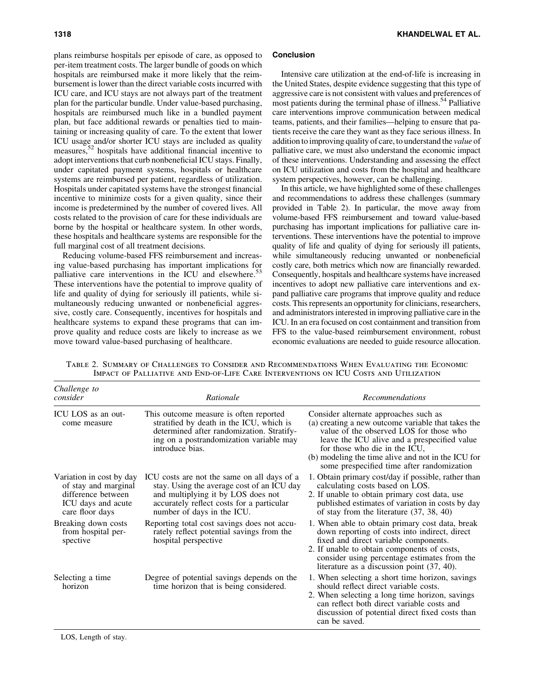plans reimburse hospitals per episode of care, as opposed to per-item treatment costs. The larger bundle of goods on which hospitals are reimbursed make it more likely that the reimbursement is lower than the direct variable costs incurred with ICU care, and ICU stays are not always part of the treatment plan for the particular bundle. Under value-based purchasing, hospitals are reimbursed much like in a bundled payment plan, but face additional rewards or penalties tied to maintaining or increasing quality of care. To the extent that lower ICU usage and/or shorter ICU stays are included as quality measures,<sup>52</sup> hospitals have additional financial incentive to adopt interventions that curb nonbeneficial ICU stays. Finally, under capitated payment systems, hospitals or healthcare systems are reimbursed per patient, regardless of utilization. Hospitals under capitated systems have the strongest financial incentive to minimize costs for a given quality, since their income is predetermined by the number of covered lives. All costs related to the provision of care for these individuals are borne by the hospital or healthcare system. In other words, these hospitals and healthcare systems are responsible for the full marginal cost of all treatment decisions.

Reducing volume-based FFS reimbursement and increasing value-based purchasing has important implications for palliative care interventions in the ICU and elsewhere. $53$ These interventions have the potential to improve quality of life and quality of dying for seriously ill patients, while simultaneously reducing unwanted or nonbeneficial aggressive, costly care. Consequently, incentives for hospitals and healthcare systems to expand these programs that can improve quality and reduce costs are likely to increase as we move toward value-based purchasing of healthcare.

# Conclusion

Intensive care utilization at the end-of-life is increasing in the United States, despite evidence suggesting that this type of aggressive care is not consistent with values and preferences of most patients during the terminal phase of illness.<sup>54</sup> Palliative care interventions improve communication between medical teams, patients, and their families—helping to ensure that patients receive the care they want as they face serious illness. In additionto improving quality of care, to understand the *value* of palliative care, we must also understand the economic impact of these interventions. Understanding and assessing the effect on ICU utilization and costs from the hospital and healthcare system perspectives, however, can be challenging.

In this article, we have highlighted some of these challenges and recommendations to address these challenges (summary provided in Table 2). In particular, the move away from volume-based FFS reimbursement and toward value-based purchasing has important implications for palliative care interventions. These interventions have the potential to improve quality of life and quality of dying for seriously ill patients, while simultaneously reducing unwanted or nonbeneficial costly care, both metrics which now are financially rewarded. Consequently, hospitals and healthcare systems have increased incentives to adopt new palliative care interventions and expand palliative care programs that improve quality and reduce costs. This represents an opportunity for clinicians, researchers, and administrators interested in improving palliative care in the ICU. In an era focused on cost containment and transition from FFS to the value-based reimbursement environment, robust economic evaluations are needed to guide resource allocation.

| Challenge to<br>consider                                                                                        | Rationale                                                                                                                                                                                                  | <b>Recommendations</b>                                                                                                                                                                                                                                                                                                      |
|-----------------------------------------------------------------------------------------------------------------|------------------------------------------------------------------------------------------------------------------------------------------------------------------------------------------------------------|-----------------------------------------------------------------------------------------------------------------------------------------------------------------------------------------------------------------------------------------------------------------------------------------------------------------------------|
| ICU LOS as an out-<br>come measure                                                                              | This outcome measure is often reported<br>stratified by death in the ICU, which is<br>determined after randomization. Stratify-<br>ing on a postrandomization variable may<br>introduce bias.              | Consider alternate approaches such as<br>(a) creating a new outcome variable that takes the<br>value of the observed LOS for those who<br>leave the ICU alive and a prespecified value<br>for those who die in the ICU,<br>(b) modeling the time alive and not in the ICU for<br>some prespecified time after randomization |
| Variation in cost by day<br>of stay and marginal<br>difference between<br>ICU days and acute<br>care floor days | ICU costs are not the same on all days of a<br>stay. Using the average cost of an ICU day<br>and multiplying it by LOS does not<br>accurately reflect costs for a particular<br>number of days in the ICU. | 1. Obtain primary cost/day if possible, rather than<br>calculating costs based on LOS.<br>2. If unable to obtain primary cost data, use<br>published estimates of variation in costs by day<br>of stay from the literature $(37, 38, 40)$                                                                                   |
| Breaking down costs<br>from hospital per-<br>spective                                                           | Reporting total cost savings does not accu-<br>rately reflect potential savings from the<br>hospital perspective                                                                                           | 1. When able to obtain primary cost data, break<br>down reporting of costs into indirect, direct<br>fixed and direct variable components.<br>2. If unable to obtain components of costs,<br>consider using percentage estimates from the<br>literature as a discussion point $(37, 40)$ .                                   |
| Selecting a time<br>horizon                                                                                     | Degree of potential savings depends on the<br>time horizon that is being considered.                                                                                                                       | 1. When selecting a short time horizon, savings<br>should reflect direct variable costs.<br>2. When selecting a long time horizon, savings<br>can reflect both direct variable costs and<br>discussion of potential direct fixed costs than<br>can be saved.                                                                |

Table 2. Summary of Challenges to Consider and Recommendations When Evaluating the Economic Impact of Palliative and End-of-Life Care Interventions on ICU Costs and Utilization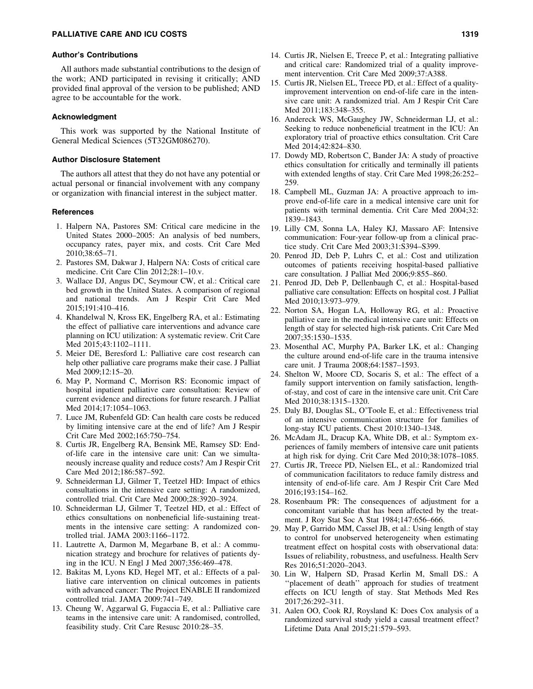#### Author's Contributions

All authors made substantial contributions to the design of the work; AND participated in revising it critically; AND provided final approval of the version to be published; AND agree to be accountable for the work.

#### Acknowledgment

This work was supported by the National Institute of General Medical Sciences (5T32GM086270).

#### Author Disclosure Statement

The authors all attest that they do not have any potential or actual personal or financial involvement with any company or organization with financial interest in the subject matter.

# **References**

- 1. Halpern NA, Pastores SM: Critical care medicine in the United States 2000–2005: An analysis of bed numbers, occupancy rates, payer mix, and costs. Crit Care Med 2010;38:65–71.
- 2. Pastores SM, Dakwar J, Halpern NA: Costs of critical care medicine. Crit Care Clin 2012;28:1–10.v.
- 3. Wallace DJ, Angus DC, Seymour CW, et al.: Critical care bed growth in the United States. A comparison of regional and national trends. Am J Respir Crit Care Med 2015;191:410–416.
- 4. Khandelwal N, Kross EK, Engelberg RA, et al.: Estimating the effect of palliative care interventions and advance care planning on ICU utilization: A systematic review. Crit Care Med 2015;43:1102–1111.
- 5. Meier DE, Beresford L: Palliative care cost research can help other palliative care programs make their case. J Palliat Med 2009;12:15–20.
- 6. May P, Normand C, Morrison RS: Economic impact of hospital inpatient palliative care consultation: Review of current evidence and directions for future research. J Palliat Med 2014;17:1054–1063.
- 7. Luce JM, Rubenfeld GD: Can health care costs be reduced by limiting intensive care at the end of life? Am J Respir Crit Care Med 2002;165:750–754.
- 8. Curtis JR, Engelberg RA, Bensink ME, Ramsey SD: Endof-life care in the intensive care unit: Can we simultaneously increase quality and reduce costs? Am J Respir Crit Care Med 2012;186:587–592.
- 9. Schneiderman LJ, Gilmer T, Teetzel HD: Impact of ethics consultations in the intensive care setting: A randomized, controlled trial. Crit Care Med 2000;28:3920–3924.
- 10. Schneiderman LJ, Gilmer T, Teetzel HD, et al.: Effect of ethics consultations on nonbeneficial life-sustaining treatments in the intensive care setting: A randomized controlled trial. JAMA 2003:1166–1172.
- 11. Lautrette A, Darmon M, Megarbane B, et al.: A communication strategy and brochure for relatives of patients dying in the ICU. N Engl J Med 2007;356:469–478.
- 12. Bakitas M, Lyons KD, Hegel MT, et al.: Effects of a palliative care intervention on clinical outcomes in patients with advanced cancer: The Project ENABLE II randomized controlled trial. JAMA 2009:741–749.
- 13. Cheung W, Aggarwal G, Fugaccia E, et al.: Palliative care teams in the intensive care unit: A randomised, controlled, feasibility study. Crit Care Resusc 2010:28–35.
- 14. Curtis JR, Nielsen E, Treece P, et al.: Integrating palliative and critical care: Randomized trial of a quality improvement intervention. Crit Care Med 2009;37:A388.
- 15. Curtis JR, Nielsen EL, Treece PD, et al.: Effect of a qualityimprovement intervention on end-of-life care in the intensive care unit: A randomized trial. Am J Respir Crit Care Med 2011;183:348–355.
- 16. Andereck WS, McGaughey JW, Schneiderman LJ, et al.: Seeking to reduce nonbeneficial treatment in the ICU: An exploratory trial of proactive ethics consultation. Crit Care Med 2014;42:824–830.
- 17. Dowdy MD, Robertson C, Bander JA: A study of proactive ethics consultation for critically and terminally ill patients with extended lengths of stay. Crit Care Med 1998;26:252– 259.
- 18. Campbell ML, Guzman JA: A proactive approach to improve end-of-life care in a medical intensive care unit for patients with terminal dementia. Crit Care Med 2004;32: 1839–1843.
- 19. Lilly CM, Sonna LA, Haley KJ, Massaro AF: Intensive communication: Four-year follow-up from a clinical practice study. Crit Care Med 2003;31:S394–S399.
- 20. Penrod JD, Deb P, Luhrs C, et al.: Cost and utilization outcomes of patients receiving hospital-based palliative care consultation. J Palliat Med 2006;9:855–860.
- 21. Penrod JD, Deb P, Dellenbaugh C, et al.: Hospital-based palliative care consultation: Effects on hospital cost. J Palliat Med 2010;13:973–979.
- 22. Norton SA, Hogan LA, Holloway RG, et al.: Proactive palliative care in the medical intensive care unit: Effects on length of stay for selected high-risk patients. Crit Care Med 2007;35:1530–1535.
- 23. Mosenthal AC, Murphy PA, Barker LK, et al.: Changing the culture around end-of-life care in the trauma intensive care unit. J Trauma 2008;64:1587–1593.
- 24. Shelton W, Moore CD, Socaris S, et al.: The effect of a family support intervention on family satisfaction, lengthof-stay, and cost of care in the intensive care unit. Crit Care Med 2010;38:1315–1320.
- 25. Daly BJ, Douglas SL, O'Toole E, et al.: Effectiveness trial of an intensive communication structure for families of long-stay ICU patients. Chest 2010:1340–1348.
- 26. McAdam JL, Dracup KA, White DB, et al.: Symptom experiences of family members of intensive care unit patients at high risk for dying. Crit Care Med 2010;38:1078–1085.
- 27. Curtis JR, Treece PD, Nielsen EL, et al.: Randomized trial of communication facilitators to reduce family distress and intensity of end-of-life care. Am J Respir Crit Care Med 2016;193:154–162.
- 28. Rosenbaum PR: The consequences of adjustment for a concomitant variable that has been affected by the treatment. J Roy Stat Soc A Stat 1984;147:656–666.
- 29. May P, Garrido MM, Cassel JB, et al.: Using length of stay to control for unobserved heterogeneity when estimating treatment effect on hospital costs with observational data: Issues of reliability, robustness, and usefulness. Health Serv Res 2016;51:2020–2043.
- 30. Lin W, Halpern SD, Prasad Kerlin M, Small DS.: A ''placement of death'' approach for studies of treatment effects on ICU length of stay. Stat Methods Med Res 2017;26:292–311.
- 31. Aalen OO, Cook RJ, Roysland K: Does Cox analysis of a randomized survival study yield a causal treatment effect? Lifetime Data Anal 2015;21:579–593.